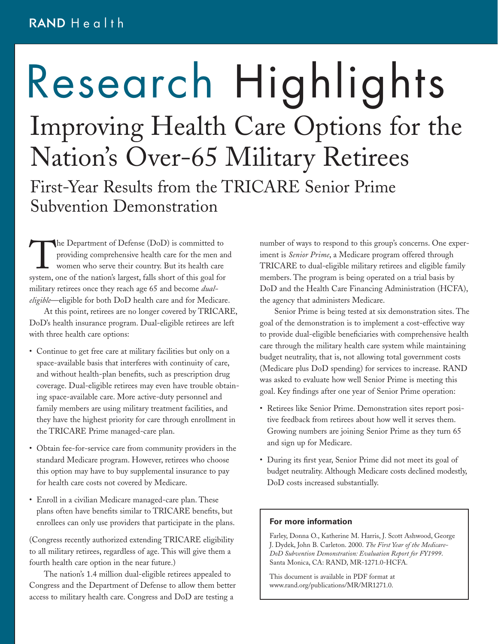# Research Highlights Improving Health Care Options for the Nation's Over-65 Military Retirees First-Year Results from the TRICARE Senior Prime Subvention Demonstration

The Department of Defense (DoD) is committed to<br>providing comprehensive health care for the men ar<br>women who serve their country. But its health care<br>system, one of the nation's largest, falls short of this goal for providing comprehensive health care for the men and women who serve their country. But its health care system, one of the nation's largest, falls short of this goal for military retirees once they reach age 65 and become *dualeligible*—eligible for both DoD health care and for Medicare.

At this point, retirees are no longer covered by TRICARE, DoD's health insurance program. Dual-eligible retirees are left with three health care options:

- Continue to get free care at military facilities but only on a space-available basis that interferes with continuity of care, and without health-plan benefits, such as prescription drug coverage. Dual-eligible retirees may even have trouble obtaining space-available care. More active-duty personnel and family members are using military treatment facilities, and they have the highest priority for care through enrollment in the TRICARE Prime managed-care plan.
- Obtain fee-for-service care from community providers in the standard Medicare program. However, retirees who choose this option may have to buy supplemental insurance to pay for health care costs not covered by Medicare.
- Enroll in a civilian Medicare managed-care plan. These plans often have benefits similar to TRICARE benefits, but enrollees can only use providers that participate in the plans.

(Congress recently authorized extending TRICARE eligibility to all military retirees, regardless of age. This will give them a fourth health care option in the near future.)

The nation's 1.4 million dual-eligible retirees appealed to Congress and the Department of Defense to allow them better access to military health care. Congress and DoD are testing a

number of ways to respond to this group's concerns. One experiment is *Senior Prime*, a Medicare program offered through TRICARE to dual-eligible military retirees and eligible family members. The program is being operated on a trial basis by DoD and the Health Care Financing Administration (HCFA), the agency that administers Medicare.

Senior Prime is being tested at six demonstration sites. The goal of the demonstration is to implement a cost-effective way to provide dual-eligible beneficiaries with comprehensive health care through the military health care system while maintaining budget neutrality, that is, not allowing total government costs (Medicare plus DoD spending) for services to increase. RAND was asked to evaluate how well Senior Prime is meeting this goal. Key findings after one year of Senior Prime operation:

- Retirees like Senior Prime. Demonstration sites report positive feedback from retirees about how well it serves them. Growing numbers are joining Senior Prime as they turn 65 and sign up for Medicare.
- During its first year, Senior Prime did not meet its goal of budget neutrality. Although Medicare costs declined modestly, DoD costs increased substantially.

#### **For more information**

Farley, Donna O., Katherine M. Harris, J. Scott Ashwood, George J. Dydek, John B. Carleton. 2000. *The First Year of the Medicare-DoD Subvention Demonstration: Evaluation Report for FY1999*. Santa Monica, CA: RAND, MR-1271.0-HCFA.

This document is available in PDF format at www.rand.org/publications/MR/MR1271.0.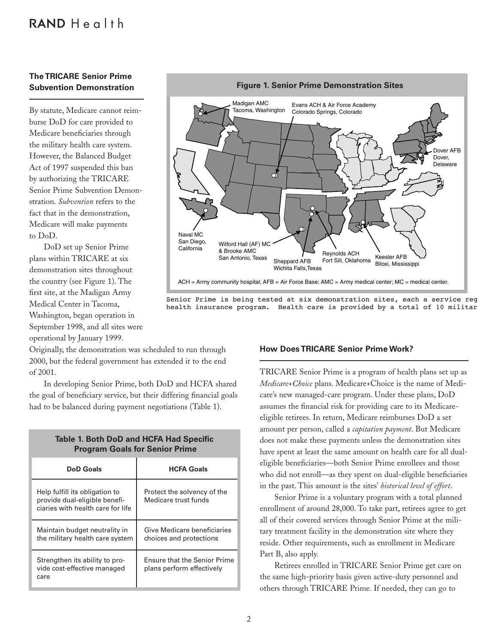## $RANDHealth$

### **The TRICARE Senior Prime Subvention Demonstration**

By statute, Medicare cannot reimburse DoD for care provided to Medicare beneficiaries through the military health care system. However, the Balanced Budget Act of 1997 suspended this ban by authorizing the TRICARE Senior Prime Subvention Demonstration. *Subvention* refers to the fact that in the demonstration, Medicare will make payments to DoD.

DoD set up Senior Prime plans within TRICARE at six demonstration sites throughout the country (see Figure 1). The first site, at the Madigan Army Medical Center in Tacoma, Washington, began operation in September 1998, and all sites were operational by January 1999.

Originally, the demonstration was scheduled to run through 2000, but the federal government has extended it to the end of 2001.

In developing Senior Prime, both DoD and HCFA shared the goal of beneficiary service, but their differing financial goals had to be balanced during payment negotiations (Table 1).

| <b>Table 1. Both DoD and HCFA Had Specific</b> |
|------------------------------------------------|
| <b>Program Goals for Senior Prime</b>          |

| <b>DoD</b> Goals                                                                                     | <b>HCFA Goals</b>                                                |
|------------------------------------------------------------------------------------------------------|------------------------------------------------------------------|
| Help fulfill its obligation to<br>provide dual-eligible benefi-<br>ciaries with health care for life | Protect the solvency of the<br>Medicare trust funds              |
| Maintain budget neutrality in<br>the military health care system                                     | Give Medicare beneficiaries<br>choices and protections           |
| Strengthen its ability to pro-<br>vide cost-effective managed<br>care                                | <b>Ensure that the Senior Prime</b><br>plans perform effectively |



Senior Prime is being tested at six demonstration sites, each a service reg health insurance program. Health care is provided by a total of 10 militar

#### **How Does TRICARE Senior Prime Work?**

TRICARE Senior Prime is a program of health plans set up as *Medicare*+*Choice* plans. Medicare+Choice is the name of Medicare's new managed-care program. Under these plans, DoD assumes the financial risk for providing care to its Medicareeligible retirees. In return, Medicare reimburses DoD a set amount per person, called a *capitation payment*. But Medicare does not make these payments unless the demonstration sites have spent at least the same amount on health care for all dualeligible beneficiaries—both Senior Prime enrollees and those who did not enroll—as they spent on dual-eligible beneficiaries in the past. This amount is the sites' *historical level of effort*.

Senior Prime is a voluntary program with a total planned enrollment of around 28,000. To take part, retirees agree to get all of their covered services through Senior Prime at the military treatment facility in the demonstration site where they reside. Other requirements, such as enrollment in Medicare Part B, also apply.

Retirees enrolled in TRICARE Senior Prime get care on the same high-priority basis given active-duty personnel and others through TRICARE Prime. If needed, they can go to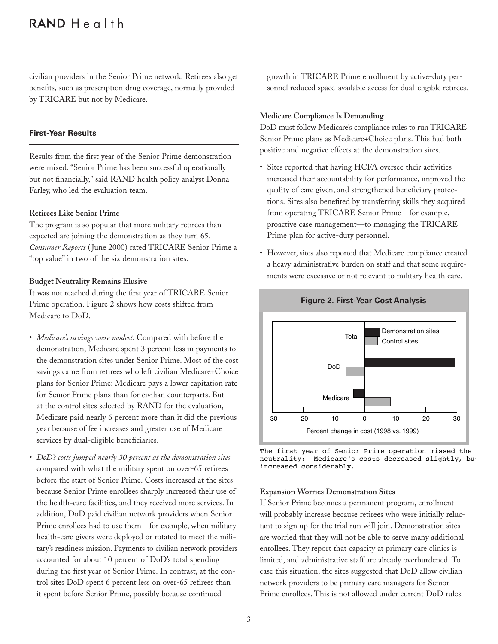## $RANDHealth$

civilian providers in the Senior Prime network. Retirees also get benefits, such as prescription drug coverage, normally provided by TRICARE but not by Medicare.

#### **First-Year Results**

Results from the first year of the Senior Prime demonstration were mixed. "Senior Prime has been successful operationally but not financially," said RAND health policy analyst Donna Farley, who led the evaluation team.

#### **Retirees Like Senior Prime**

The program is so popular that more military retirees than expected are joining the demonstration as they turn 65. *Consumer Reports* ( June 2000) rated TRICARE Senior Prime a "top value" in two of the six demonstration sites.

#### **Budget Neutrality Remains Elusive**

It was not reached during the first year of TRICARE Senior Prime operation. Figure 2 shows how costs shifted from Medicare to DoD.

- *Medicare's savings were modest*. Compared with before the demonstration, Medicare spent 3 percent less in payments to the demonstration sites under Senior Prime. Most of the cost savings came from retirees who left civilian Medicare+Choice plans for Senior Prime: Medicare pays a lower capitation rate for Senior Prime plans than for civilian counterparts. But at the control sites selected by RAND for the evaluation, Medicare paid nearly 6 percent more than it did the previous year because of fee increases and greater use of Medicare services by dual-eligible beneficiaries.
- *DoD's costs jumped nearly 30 percent at the demonstration sites* compared with what the military spent on over-65 retirees before the start of Senior Prime. Costs increased at the sites because Senior Prime enrollees sharply increased their use of the health-care facilities, and they received more services. In addition, DoD paid civilian network providers when Senior Prime enrollees had to use them—for example, when military health-care givers were deployed or rotated to meet the military's readiness mission. Payments to civilian network providers accounted for about 10 percent of DoD's total spending during the first year of Senior Prime. In contrast, at the control sites DoD spent 6 percent less on over-65 retirees than it spent before Senior Prime, possibly because continued

growth in TRICARE Prime enrollment by active-duty personnel reduced space-available access for dual-eligible retirees.

#### **Medicare Compliance Is Demanding**

DoD must follow Medicare's compliance rules to run TRICARE Senior Prime plans as Medicare+Choice plans. This had both positive and negative effects at the demonstration sites.

- Sites reported that having HCFA oversee their activities increased their accountability for performance, improved the quality of care given, and strengthened beneficiary protections. Sites also benefited by transferring skills they acquired from operating TRICARE Senior Prime—for example, proactive case management—to managing the TRICARE Prime plan for active-duty personnel.
- However, sites also reported that Medicare compliance created a heavy administrative burden on staff and that some requirements were excessive or not relevant to military health care.



#### **Figure 2. First-Year Cost Analysis**

The first year of Senior Prime operation missed the neutrality: Medicare's costs decreased slightly, but increased considerably.

#### **Expansion Worries Demonstration Sites**

If Senior Prime becomes a permanent program, enrollment will probably increase because retirees who were initially reluctant to sign up for the trial run will join. Demonstration sites are worried that they will not be able to serve many additional enrollees. They report that capacity at primary care clinics is limited, and administrative staff are already overburdened. To ease this situation, the sites suggested that DoD allow civilian network providers to be primary care managers for Senior Prime enrollees. This is not allowed under current DoD rules.